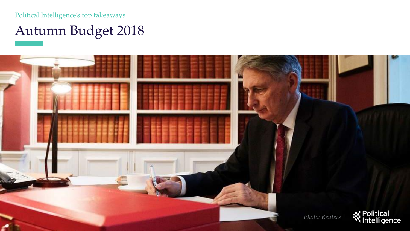Political Intelligence's top takeaways

## Autumn Budget 2018

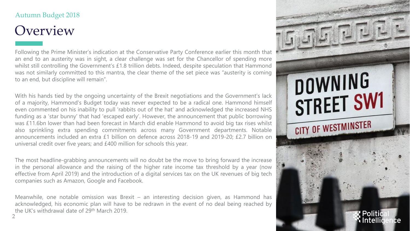### **Overview**

Following the Prime Minister's indication at the Conservative Party Conference earlier this month that an end to an austerity was in sight, a clear challenge was set for the Chancellor of spending more whilst still controlling the Government's £1.8 trillion debts. Indeed, despite speculation that Hammond was not similarly committed to this mantra, the clear theme of the set piece was "austerity is coming to an end, but discipline will remain".

With his hands tied by the ongoing uncertainty of the Brexit negotiations and the Government's lack of a majority, Hammond's Budget today was never expected to be a radical one. Hammond himself even commented on his inability to pull 'rabbits out of the hat' and acknowledged the increased NHS funding as a 'star bunny' that had 'escaped early'. However, the announcement that public borrowing was £11.6bn lower than had been forecast in March did enable Hammond to avoid big tax rises whilst also sprinkling extra spending commitments across many Government departments. Notable announcements included an extra £1 billion on defence across 2018-19 and 2019-20; £2.7 billion on universal credit over five years; and £400 million for schools this year.

The most headline-grabbing announcements will no doubt be the move to bring forward the increase in the personal allowance and the raising of the higher rate income tax threshold by a year (now effective from April 2019) and the introduction of a digital services tax on the UK revenues of big tech companies such as Amazon, Google and Facebook.

2 Meanwhile, one notable omission was Brexit – an interesting decision given, as Hammond has acknowledged, his economic plan will have to be redrawn in the event of no deal being reached by the UK's withdrawal date of 29th March 2019.

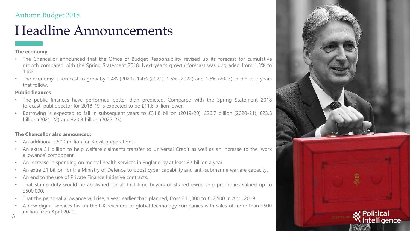### Headline Announcements

#### **The economy**

- The Chancellor announced that the Office of Budget Responsibility revised up its forecast for cumulative growth compared with the Spring Statement 2018. Next year's growth forecast was upgraded from 1.3% to 1.6%.
- The economy is forecast to grow by 1.4% (2020), 1.4% (2021), 1.5% (2022) and 1.6% (2023) in the four years that follow.

#### **Public finances**

- The public finances have performed better than predicted. Compared with the Spring Statement 2018 forecast, public sector for 2018-19 is expected to be £11.6 billion lower.
- Borrowing is expected to fall in subsequent years to £31.8 billion (2019-20), £26.7 billion (2020-21), £23.8 billion (2021-22) and £20.8 billion (2022-23).

#### **The Chancellor also announced:**

- An additional £500 million for Brexit preparations.
- An extra £1 billion to help welfare claimants transfer to Universal Credit as well as an increase to the 'work allowance' component.
- An increase in spending on mental health services in England by at least £2 billion a year.
- An extra £1 billion for the Ministry of Defence to boost cyber capability and anti-submarine warfare capacity.
- An end to the use of Private Finance Initiative contracts.
- That stamp duty would be abolished for all first-time buyers of shared ownership properties valued up to £500,000.
- That the personal allowance will rise, a year earlier than planned, from £11,800 to £12,500 in April 2019.
- A new digital services tax on the UK revenues of global technology companies with sales of more than £500 million from April 2020.



3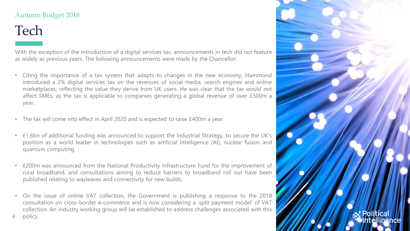### Tech

4

policy.

With the exception of the introduction of a digital services tax, announcements in tech did not feature as widely as previous years. The following announcements were made by the Chancellor:

- Citing the importance of a tax system that adapts to changes in the new economy, Hammond introduced a 2% digital services tax on the revenues of social media, search engines and online marketplaces, reflecting the value they derive from UK users. He was clear that the tax would not affect SMEs, as the tax is applicable to companies generating a global revenue of over £500m a year.
- The tax will come into effect in April 2020 and is expected to raise £400m a year.
- £1.6bn of additional funding was announced to support the Industrial Strategy, to secure the UK's position as a world leader in technologies such as artificial intelligence (AI), nuclear fusion and quantum computing.
- £200m was announced from the National Productivity Infrastructure Fund for the improvement of rural broadband, and consultations aiming to reduce barriers to broadband roll out have been published relating to wayleaves and connectivity for new builds.
- On the issue of online VAT collection, the Government is publishing a response to the 2018 consultation on cross-border e-commerce and is now considering a 'split payment model' of VAT collection. An industry working group will be established to address challenges associated with this

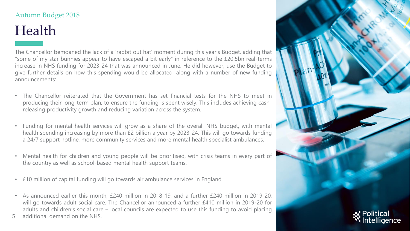## Health

The Chancellor bemoaned the lack of a 'rabbit out hat' moment during this year's Budget, adding that "some of my star bunnies appear to have escaped a bit early" in reference to the  $£20.5$ bn real-terms increase in NHS funding for 2023-24 that was announced in June. He did however, use the Budget to give further details on how this spending would be allocated, along with a number of new funding announcements:

- The Chancellor reiterated that the Government has set financial tests for the NHS to meet in producing their long-term plan, to ensure the funding is spent wisely. This includes achieving cashreleasing productivity growth and reducing variation across the system.
- Funding for mental health services will grow as a share of the overall NHS budget, with mental health spending increasing by more than £2 billion a year by 2023-24. This will go towards funding a 24/7 support hotline, more community services and more mental health specialist ambulances.
- Mental health for children and young people will be prioritised, with crisis teams in every part of the country as well as school-based mental health support teams.
- £10 million of capital funding will go towards air ambulance services in England.
- As announced earlier this month, £240 million in 2018-19, and a further £240 million in 2019-20, will go towards adult social care. The Chancellor announced a further £410 million in 2019-20 for adults and children's social care – local councils are expected to use this funding to avoid placing
- 5 additional demand on the NHS.

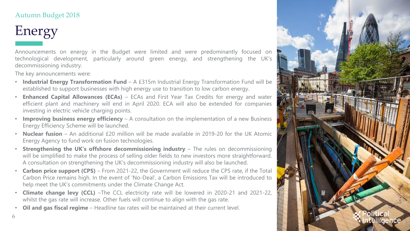# Energy

6

Announcements on energy in the Budget were limited and were predominantly focused on technological development, particularly around green energy, and strengthening the UK's decommissioning industry.

The key announcements were:

- **Industrial Energy Transformation Fund** A £315m Industrial Energy Transformation Fund will be established to support businesses with high energy use to transition to low carbon energy.
- **Enhanced Capital Allowances (ECAs)** ECAs and First Year Tax Credits for energy and water efficient plant and machinery will end in April 2020. ECA will also be extended for companies investing in electric vehicle charging points.
- **Improving business energy efficiency** A consultation on the implementation of a new Business Energy Efficiency Scheme will be launched.
- **Nuclear fusion** An additional £20 million will be made available in 2019-20 for the UK Atomic Energy Agency to fund work on fusion technologies.
- **Strengthening the UK's offshore decommissioning industry** The rules on decommissioning will be simplified to make the process of selling older fields to new investors more straightforward. A consultation on strengthening the UK's decommissioning industry will also be launched.
- **Carbon price support (CPS)** From 2021-22, the Government will reduce the CPS rate, if the Total Carbon Price remains high. In the event of 'No-Deal', a Carbon Emissions Tax will be introduced to help meet the UK's commitments under the Climate Change Act.
- **Climate change levy (CCL)** –The CCL electricity rate will be lowered in 2020-21 and 2021-22, whilst the gas rate will increase. Other fuels will continue to align with the gas rate.
- **Oil and gas fiscal regime** Headline tax rates will be maintained at their current level.

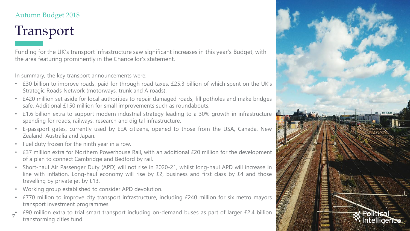# Transport

Funding for the UK's transport infrastructure saw significant increases in this year's Budget, with the area featuring prominently in the Chancellor's statement.

In summary, the key transport announcements were:

- £30 billion to improve roads, paid for through road taxes. £25.3 billion of which spent on the UK's Strategic Roads Network (motorways, trunk and A roads).
- £420 million set aside for local authorities to repair damaged roads, fill potholes and make bridges safe. Additional £150 million for small improvements such as roundabouts.
- £1.6 billion extra to support modern industrial strategy leading to a 30% growth in infrastructure spending for roads, railways, research and digital infrastructure.
- E-passport gates, currently used by EEA citizens, opened to those from the USA, Canada, New Zealand, Australia and Japan.
- Fuel duty frozen for the ninth year in a row.
- £37 million extra for Northern Powerhouse Rail, with an additional £20 million for the development of a plan to connect Cambridge and Bedford by rail.
- Short-haul Air Passenger Duty (APD) will not rise in 2020-21, whilst long-haul APD will increase in line with inflation. Long-haul economy will rise by £2, business and first class by £4 and those travelling by private jet by £13.
- Working group established to consider APD devolution.
- £770 million to improve city transport infrastructure, including £240 million for six metro mayors transport investment programmes.
- 7 • £90 million extra to trial smart transport including on-demand buses as part of larger £2.4 billion transforming cities fund.